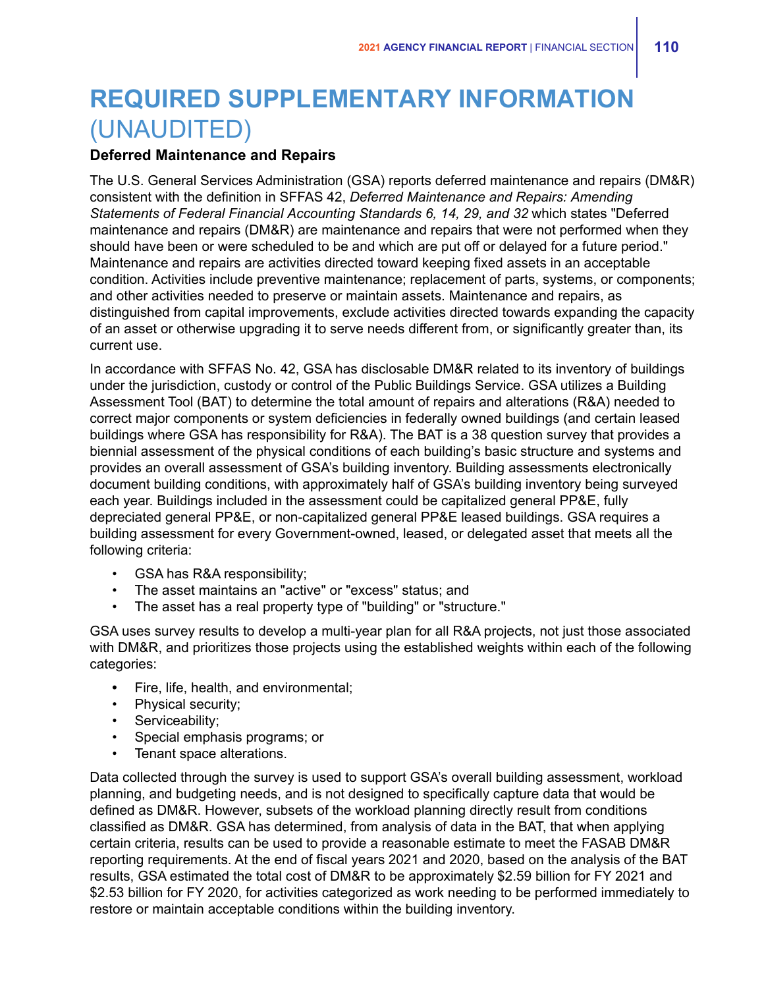# **REQUIRED SUPPLEMENTARY INFORMATION** (UNAUDITED)

## **Deferred Maintenance and Repairs**

The U.S. General Services Administration (GSA) reports deferred maintenance and repairs (DM&R) consistent with the definition in SFFAS 42, *Deferred Maintenance and Repairs: Amending Statements of Federal Financial Accounting Standards 6, 14, 29, and 32* which states "Deferred maintenance and repairs (DM&R) are maintenance and repairs that were not performed when they should have been or were scheduled to be and which are put off or delayed for a future period." Maintenance and repairs are activities directed toward keeping fixed assets in an acceptable condition. Activities include preventive maintenance; replacement of parts, systems, or components; and other activities needed to preserve or maintain assets. Maintenance and repairs, as distinguished from capital improvements, exclude activities directed towards expanding the capacity of an asset or otherwise upgrading it to serve needs different from, or significantly greater than, its current use.

In accordance with SFFAS No. 42, GSA has disclosable DM&R related to its inventory of buildings under the jurisdiction, custody or control of the Public Buildings Service. GSA utilizes a Building Assessment Tool (BAT) to determine the total amount of repairs and alterations (R&A) needed to correct major components or system deficiencies in federally owned buildings (and certain leased buildings where GSA has responsibility for R&A). The BAT is a 38 question survey that provides a biennial assessment of the physical conditions of each building's basic structure and systems and provides an overall assessment of GSA's building inventory. Building assessments electronically document building conditions, with approximately half of GSA's building inventory being surveyed each year. Buildings included in the assessment could be capitalized general PP&E, fully depreciated general PP&E, or non-capitalized general PP&E leased buildings. GSA requires a building assessment for every Government-owned, leased, or delegated asset that meets all the following criteria:

- GSA has R&A responsibility;
- The asset maintains an "active" or "excess" status; and
- The asset has a real property type of "building" or "structure."

GSA uses survey results to develop a multi-year plan for all R&A projects, not just those associated with DM&R, and prioritizes those projects using the established weights within each of the following categories:

- **•** Fire, life, health, and environmental;
- Physical security;
- Serviceability;
- Special emphasis programs; or
- Tenant space alterations.

Data collected through the survey is used to support GSA's overall building assessment, workload planning, and budgeting needs, and is not designed to specifically capture data that would be defined as DM&R. However, subsets of the workload planning directly result from conditions classified as DM&R. GSA has determined, from analysis of data in the BAT, that when applying certain criteria, results can be used to provide a reasonable estimate to meet the FASAB DM&R reporting requirements. At the end of fiscal years 2021 and 2020, based on the analysis of the BAT results, GSA estimated the total cost of DM&R to be approximately \$2.59 billion for FY 2021 and \$2.53 billion for FY 2020, for activities categorized as work needing to be performed immediately to restore or maintain acceptable conditions within the building inventory.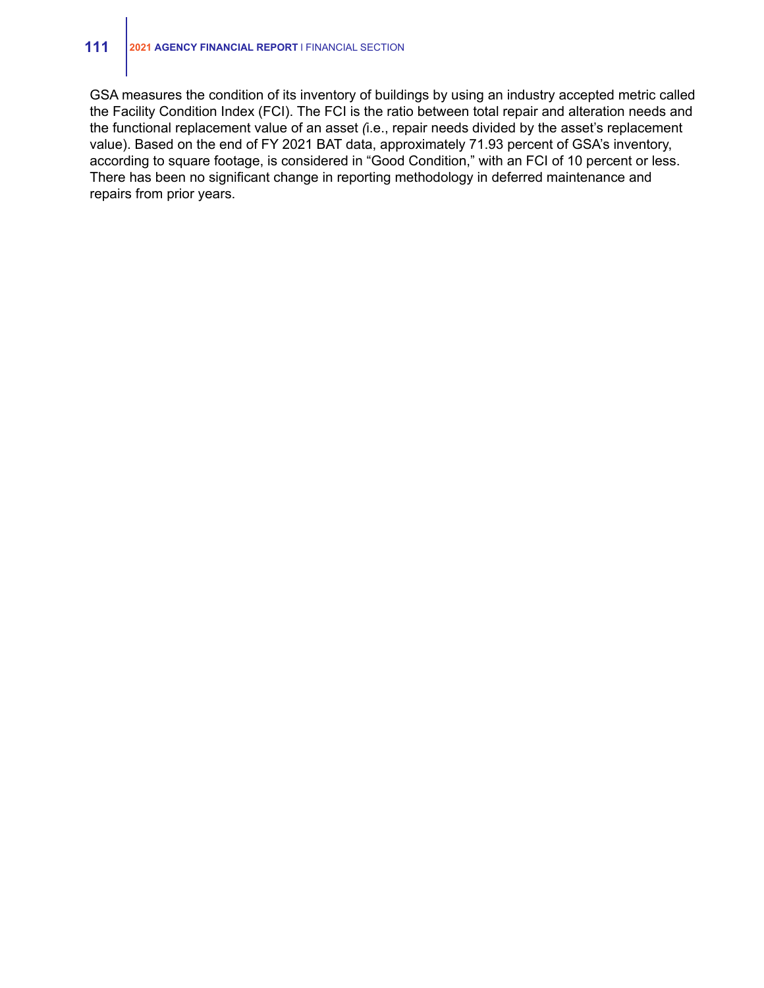#### **111 <sup>2021</sup> AGENCY FINANCIAL REPORT** <sup>l</sup> FINANCIAL SECTION

GSA measures the condition of its inventory of buildings by using an industry accepted metric called the Facility Condition Index (FCI). The FCI is the ratio between total repair and alteration needs and the functional replacement value of an asset *(*i.e., repair needs divided by the asset's replacement value). Based on the end of FY 2021 BAT data, approximately 71.93 percent of GSA's inventory, according to square footage, is considered in "Good Condition," with an FCI of 10 percent or less. There has been no significant change in reporting methodology in deferred maintenance and repairs from prior years.